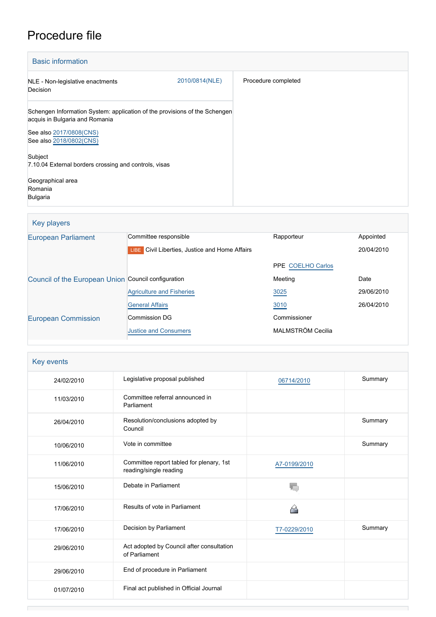# Procedure file

| <b>Basic information</b>                                                                                     |                |                     |
|--------------------------------------------------------------------------------------------------------------|----------------|---------------------|
| NLE - Non-legislative enactments<br>Decision                                                                 | 2010/0814(NLE) | Procedure completed |
| Schengen Information System: application of the provisions of the Schengen<br>acquis in Bulgaria and Romania |                |                     |
| See also 2017/0808(CNS)<br>See also 2018/0802(CNS)                                                           |                |                     |
| Subject                                                                                                      |                |                     |
| 7.10.04 External borders crossing and controls, visas                                                        |                |                     |
| Geographical area<br>Romania<br><b>Bulgaria</b>                                                              |                |                     |

## Key players

| <b>European Parliament</b>                          | Committee responsible                             | Rapporteur        | Appointed  |  |
|-----------------------------------------------------|---------------------------------------------------|-------------------|------------|--|
|                                                     | Civil Liberties, Justice and Home Affairs<br>LIBE |                   | 20/04/2010 |  |
|                                                     |                                                   | PPE COELHO Carlos |            |  |
| Council of the European Union Council configuration |                                                   | Meeting           | Date       |  |
|                                                     | <b>Agriculture and Fisheries</b>                  | 3025              | 29/06/2010 |  |
|                                                     | <b>General Affairs</b>                            | 3010              | 26/04/2010 |  |
| <b>European Commission</b>                          | <b>Commission DG</b>                              | Commissioner      |            |  |
|                                                     | <b>Justice and Consumers</b>                      | MALMSTRÖM Cecilia |            |  |
|                                                     |                                                   |                   |            |  |

## Key events

| 24/02/2010 | Legislative proposal published                                     | 06714/2010   | Summary |
|------------|--------------------------------------------------------------------|--------------|---------|
| 11/03/2010 | Committee referral announced in<br>Parliament                      |              |         |
| 26/04/2010 | Resolution/conclusions adopted by<br>Council                       |              | Summary |
| 10/06/2010 | Vote in committee                                                  |              | Summary |
| 11/06/2010 | Committee report tabled for plenary, 1st<br>reading/single reading | A7-0199/2010 |         |
| 15/06/2010 | Debate in Parliament                                               | T.,          |         |
| 17/06/2010 | Results of vote in Parliament                                      |              |         |
| 17/06/2010 | Decision by Parliament                                             | T7-0229/2010 | Summary |
| 29/06/2010 | Act adopted by Council after consultation<br>of Parliament         |              |         |
| 29/06/2010 | End of procedure in Parliament                                     |              |         |
| 01/07/2010 | Final act published in Official Journal                            |              |         |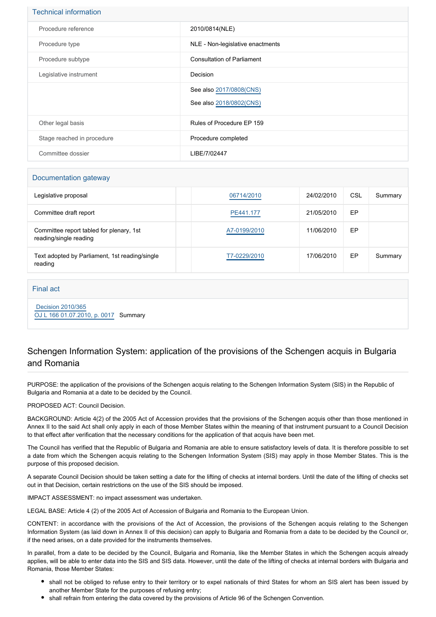| <b>Technical information</b> |                                                    |
|------------------------------|----------------------------------------------------|
| Procedure reference          | 2010/0814(NLE)                                     |
| Procedure type               | NLE - Non-legislative enactments                   |
| Procedure subtype            | <b>Consultation of Parliament</b>                  |
| Legislative instrument       | Decision                                           |
|                              | See also 2017/0808(CNS)<br>See also 2018/0802(CNS) |
| Other legal basis            | Rules of Procedure EP 159                          |
| Stage reached in procedure   | Procedure completed                                |
| Committee dossier            | LIBE/7/02447                                       |

#### Documentation gateway

| Legislative proposal                                               | 06714/2010   | 24/02/2010 | CSL | Summary |
|--------------------------------------------------------------------|--------------|------------|-----|---------|
| Committee draft report                                             | PE441.177    | 21/05/2010 | EP  |         |
| Committee report tabled for plenary, 1st<br>reading/single reading | A7-0199/2010 | 11/06/2010 | EP  |         |
| Text adopted by Parliament, 1st reading/single<br>reading          | T7-0229/2010 | 17/06/2010 | EP  | Summary |

#### Final act

 [Decision 2010/365](https://eur-lex.europa.eu/smartapi/cgi/sga_doc?smartapi!celexplus!prod!CELEXnumdoc&lg=EN&numdoc=32010D0365) [OJ L 166 01.07.2010, p. 0017](https://eur-lex.europa.eu/legal-content/EN/TXT/?uri=OJ:L:2010:166:TOC) Summary

### Schengen Information System: application of the provisions of the Schengen acquis in Bulgaria and Romania

PURPOSE: the application of the provisions of the Schengen acquis relating to the Schengen Information System (SIS) in the Republic of Bulgaria and Romania at a date to be decided by the Council.

#### PROPOSED ACT: Council Decision.

BACKGROUND: Article 4(2) of the 2005 Act of Accession provides that the provisions of the Schengen acquis other than those mentioned in Annex II to the said Act shall only apply in each of those Member States within the meaning of that instrument pursuant to a Council Decision to that effect after verification that the necessary conditions for the application of that acquis have been met.

The Council has verified that the Republic of Bulgaria and Romania are able to ensure satisfactory levels of data. It is therefore possible to set a date from which the Schengen acquis relating to the Schengen Information System (SIS) may apply in those Member States. This is the purpose of this proposed decision.

A separate Council Decision should be taken setting a date for the lifting of checks at internal borders. Until the date of the lifting of checks set out in that Decision, certain restrictions on the use of the SIS should be imposed.

IMPACT ASSESSMENT: no impact assessment was undertaken.

LEGAL BASE: Article 4 (2) of the 2005 Act of Accession of Bulgaria and Romania to the European Union.

CONTENT: in accordance with the provisions of the Act of Accession, the provisions of the Schengen acquis relating to the Schengen Information System (as laid down in Annex II of this decision) can apply to Bulgaria and Romania from a date to be decided by the Council or, if the need arises, on a date provided for the instruments themselves.

In parallel, from a date to be decided by the Council, Bulgaria and Romania, like the Member States in which the Schengen acquis already applies, will be able to enter data into the SIS and SIS data. However, until the date of the lifting of checks at internal borders with Bulgaria and Romania, those Member States:

- shall not be obliged to refuse entry to their territory or to expel nationals of third States for whom an SIS alert has been issued by another Member State for the purposes of refusing entry;
- shall refrain from entering the data covered by the provisions of Article 96 of the Schengen Convention.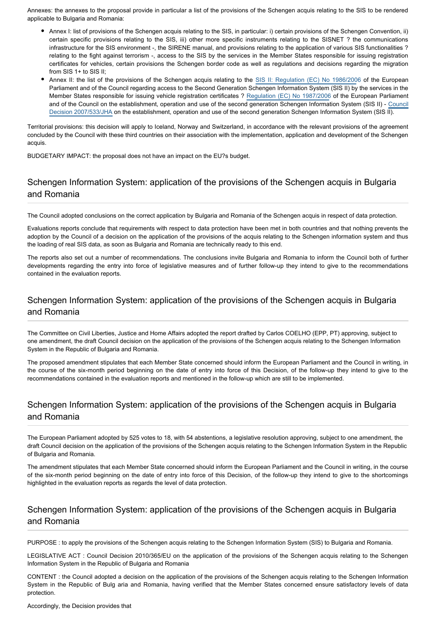Annexes: the annexes to the proposal provide in particular a list of the provisions of the Schengen acquis relating to the SIS to be rendered applicable to Bulgaria and Romania:

- Annex I: list of provisions of the Schengen acquis relating to the SIS, in particular: i) certain provisions of the Schengen Convention, ii) certain specific provisions relating to the SIS, iii) other more specific instruments relating to the SISNET ? the communications infrastructure for the SIS environment -, the SIRENE manual, and provisions relating to the application of various SIS functionalities ? relating to the fight against terrorism -, access to the SIS by the services in the Member States responsible for issuing registration certificates for vehicles, certain provisions the Schengen border code as well as regulations and decisions regarding the migration from SIS 1+ to SIS II;
- Annex II: the list of the provisions of the Schengen acquis relating to the [SIS II: Regulation \(EC\) No 1986/200](http://www.europarl.europa.eu/oeil/FindByProcnum.do?lang=en&procnum=COD/2005/0104)6 of the European Parliament and of the Council regarding access to the Second Generation Schengen Information System (SIS II) by the services in the Member States responsible for issuing vehicle registration certificates ? [Regulation \(EC\) No 1987/2006](http://www.europarl.europa.eu/oeil/FindByProcnum.do?lang=en&procnum=COD/2005/0106) of the European Parliament and of the Council on the establishment, operation and use of the second generation Schengen Information System (SIS II) - [Council](http://www.europarl.europa.eu/oeil/FindByProcnum.do?lang=en&procnum=CNS/2005/0103) [Decision 2007/533/JHA](http://www.europarl.europa.eu/oeil/FindByProcnum.do?lang=en&procnum=CNS/2005/0103) on the establishment, operation and use of the second generation Schengen Information System (SIS II).

Territorial provisions: this decision will apply to Iceland, Norway and Switzerland, in accordance with the relevant provisions of the agreement concluded by the Council with these third countries on their association with the implementation, application and development of the Schengen acquis.

BUDGETARY IMPACT: the proposal does not have an impact on the EU?s budget.

## Schengen Information System: application of the provisions of the Schengen acquis in Bulgaria and Romania

The Council adopted conclusions on the correct application by Bulgaria and Romania of the Schengen acquis in respect of data protection.

Evaluations reports conclude that requirements with respect to data protection have been met in both countries and that nothing prevents the adoption by the Council of a decision on the application of the provisions of the acquis relating to the Schengen information system and thus the loading of real SIS data, as soon as Bulgaria and Romania are technically ready to this end.

The reports also set out a number of recommendations. The conclusions invite Bulgaria and Romania to inform the Council both of further developments regarding the entry into force of legislative measures and of further follow-up they intend to give to the recommendations contained in the evaluation reports.

## Schengen Information System: application of the provisions of the Schengen acquis in Bulgaria and Romania

The Committee on Civil Liberties, Justice and Home Affairs adopted the report drafted by Carlos COELHO (EPP, PT) approving, subject to one amendment, the draft Council decision on the application of the provisions of the Schengen acquis relating to the Schengen Information System in the Republic of Bulgaria and Romania.

The proposed amendment stipulates that each Member State concerned should inform the European Parliament and the Council in writing, in the course of the six-month period beginning on the date of entry into force of this Decision, of the follow-up they intend to give to the recommendations contained in the evaluation reports and mentioned in the follow-up which are still to be implemented.

## Schengen Information System: application of the provisions of the Schengen acquis in Bulgaria and Romania

The European Parliament adopted by 525 votes to 18, with 54 abstentions, a legislative resolution approving, subject to one amendment, the draft Council decision on the application of the provisions of the Schengen acquis relating to the Schengen Information System in the Republic of Bulgaria and Romania.

The amendment stipulates that each Member State concerned should inform the European Parliament and the Council in writing, in the course of the six-month period beginning on the date of entry into force of this Decision, of the follow-up they intend to give to the shortcomings highlighted in the evaluation reports as regards the level of data protection.

## Schengen Information System: application of the provisions of the Schengen acquis in Bulgaria and Romania

PURPOSE : to apply the provisions of the Schengen acquis relating to the Schengen Information System (SIS) to Bulgaria and Romania.

LEGISLATIVE ACT : Council Decision 2010/365/EU on the application of the provisions of the Schengen acquis relating to the Schengen Information System in the Republic of Bulgaria and Romania

CONTENT : the Council adopted a decision on the application of the provisions of the Schengen acquis relating to the Schengen Information System in the Republic of Bulg aria and Romania, having verified that the Member States concerned ensure satisfactory levels of data protection.